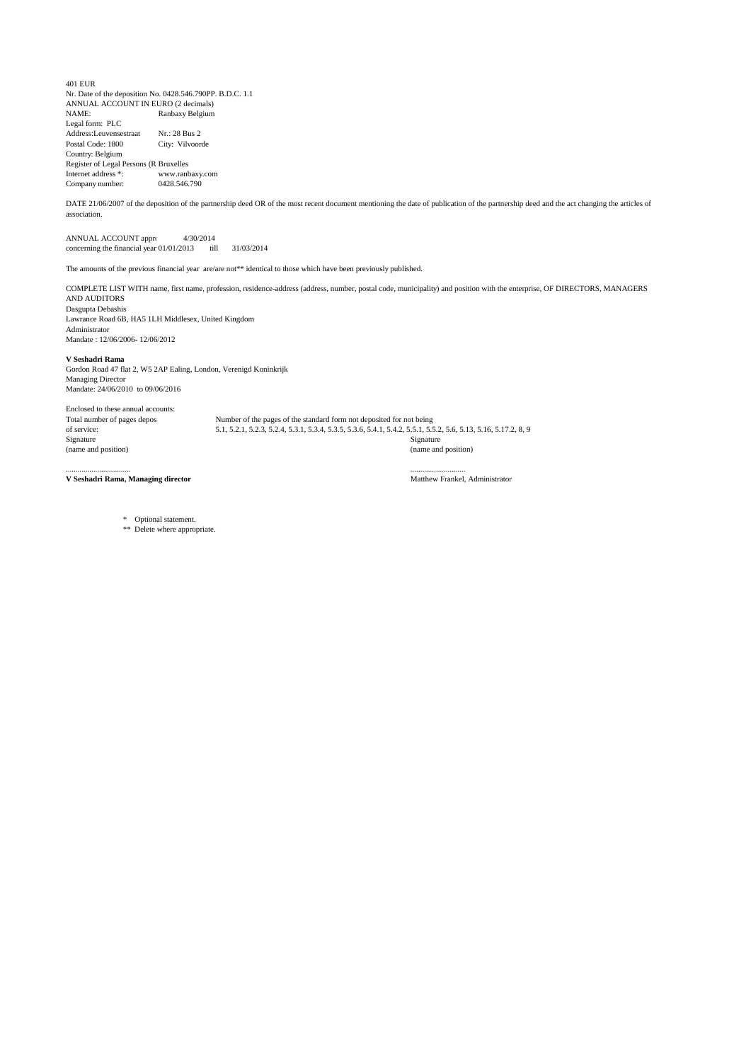

KPMG Bedrijfsrevisoren- Reviseurs d'Entreprises Bourgetlaan - Avenue du Bourget 40 <sup>1130</sup> Brussel-Bruxelles Belgium

Tel. +32 (0)2 708 43 00 Fax +32 (0)2 708 43 99 www.kpmgbe

## Statutory auditor's report to the general meeting of shareholders of Ranbaxy Belgium NV on the financial statements for the year end accounting period of 15 months 31 March 2014

## FREE TRANSLATION OF UNQUALIFIED STATUTORY AUDITOR'S REPORT ORIGINALLY PREPARED IN DUTCH

As required by law and the company's articles of association, we report to you on the performance of our audit mandate. This report includes our opin ion on the financial statements together with the required additional comments and information.

## Unqualified audit opinion on the financial statements with an explanatory

## paragraph

We have audited the financial statements of Ranbaxy Belgium NA for the year ended accounting period of 15 months 31 March 2014, prepared in accordance with the financial reporting framework applicable in Belgium, which show a balance sheet total of EUR 823.122,92/INR 67,469,091 and a profit for the year of EUR 13.455,89 /INR 1,067,927.

The board of directors of the company is responsible for the preparation of the financial statements. This responsibility includes: designing, implementing and maintaining internal control relevant to the preparation and fair presentation of financial statements that are free from material misstatement, whether due to fraud or error; selecting and applying appropriate accounting policies; and making accounting estimates that are reasonable in the circumstances.

Our responsibility is to express an opinion on these financial statements based on our audit. We conducted our audit in accordance with legal requirements and auditing standards applicable in Belgium, as issued by the "lnstit ut des Reviseurs d'Entreprises/Instituut van de Bedrijfsrevisoren". Those standards require that we plan and perform the audit to obtain reasonable assurance whether the financial statements are free from material misstatement.

In accordance with these standards, we have performed procedures to obtain audit evidence about the amounts and disclosures in the financial statements. The procedures selected depend on our judgment, including the assessment of the risks of material misstatement of the financial statements, whether due to fraud or error. In making those risk assessments, we have considered internal control relevant to the company's preparation and fair presentation of the financial statements in order to design audit procedures that are appropriate in the circumstances but not for the purpose of expressing an opi nion on the effectiveness of the company's internal control. We have also evaluated the appropriateness of the accounting policies used, the reasonableness of accounting estimates made by the company and the presentation of the financial statements, taken as <sup>a</sup> whole. Finally, we have obtained from management and responsible officers of the company the explanations and information necessary for our audit. We believe that the audit evidence we have obtained provides a reasonable basis for our opinion.

KPMG Bedr•fsrev.SOfen • Aevtseursd'EntreprfSeS. • Setglltl CMI<br>CVBAfSCRL and a membef fwm of the KPMG networ1c of independent<br>member firms attflasted with KPMG InternatiOI"Iat Coo!\*tive rKPMG<br>International").a SwJSS entitY

M.yt5Wppetijlce zetel-<br>Boufgeuun- Avenue du Bour;et 40<br>1130 BtusselBrussels<br>Be!g.t•8e!g! l;ue

KPMG Bedr jfsrevi5oren• Ai!vlselJI'"s d"Enueprises CVBAISCRL 8ur5JIIrlijke vennoop i hlndeJsvofn'l-Soottt CIYie. forme commeroale<br>
Ondernemingsnumtnel • Nvmt•o<br>
d'en reprrse 041912<del>22</del> APR Brussel - RPM Bruxenes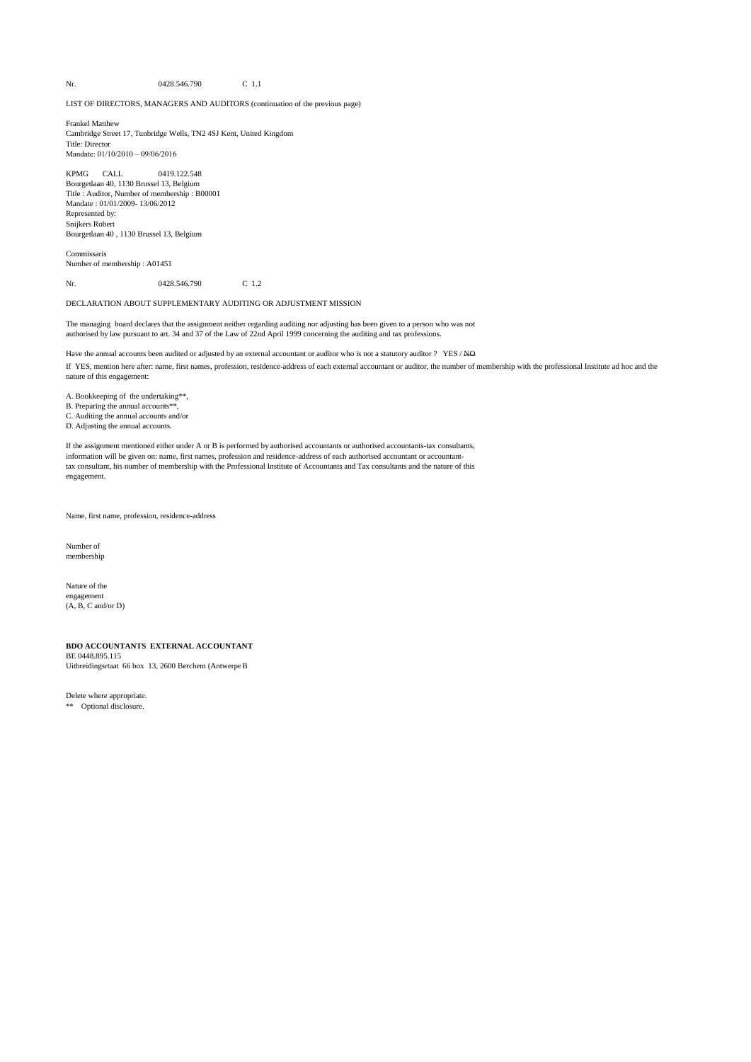*Statutory auditor ·sreport to the general meeting of shareholders of Ranba:(v Be gium NV on the financial statements fOr the year ended 31 December 2012*

In our opinion, the financial statements as of 31 March 2014 give a true and fair view of the company's equity, financial position and results in accordance with the financial reporting framework applicable in Belgium.

As mentioned in the annual report of the board of director's, a decision has been taken to stop the company's activities. Consequently the annual accounts were made in accordance with valuation rules applicable in case of discontinuity of the company. With respect to the applicability of these valuation rules, adjustments regarding valuation and classification of a number of balance sheet accounts appeared to be necessary. The board of directors, however, did not yet propose, in accordance to the article 181 and next of the Belgian Company Code, the official dissolution of the company.

Additional comments and information

The preparation of the annual report and its content, as well as the Company's compliance with the Company code and its articles of association are the responsibility of the board of directors.

Our responsibility is to supplement our report with the following additional comments and information, which do not modify our audit opinion on the financial statements:

- o The annual report includes the information required by law and is consistent with the financial statements. We are, however, unable to comment on the description of the principal risks and uncertainties which the company is facing, and on its financial situation, its foreseeable evolution or the significant influence of certain facts on its future development. We can nevertheless confirm that the matters disclosed do not present any obvious inconsistencies with the information that we became aware of during the performance of our mandate.
- Without prejudice to formal aspects of minor importance, the accounting records were maintained in accordance with the legal and regulatory requirements applicable in Belgium.
- Except as mentioned above regarding the annual report of the board of directors, there are no transactions undertaken or decisions taken in violation of the company's articles of association or the Company code that we have to report to you.
- The appropriation of results proposed to the general meeting complies with the legal and statutory provisions.